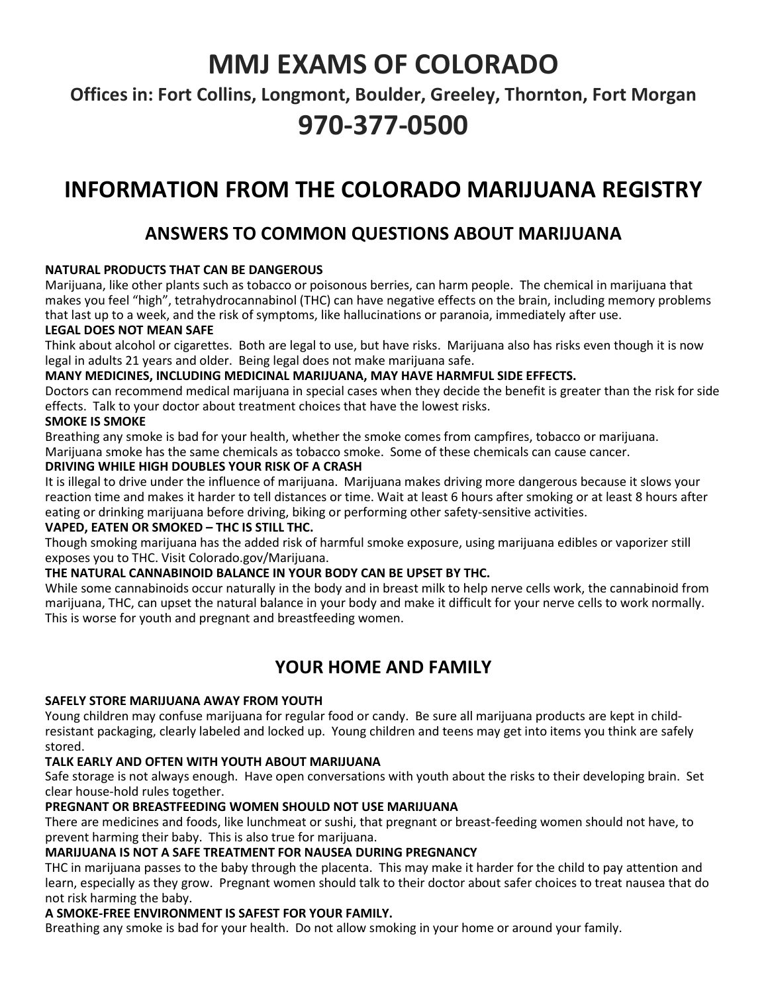# MMJ EXAMS OF COLORADO

Offices in: Fort Collins, Longmont, Boulder, Greeley, Thornton, Fort Morgan

# 970-377-0500

# INFORMATION FROM THE COLORADO MARIJUANA REGISTRY

# ANSWERS TO COMMON QUESTIONS ABOUT MARIJUANA

# NATURAL PRODUCTS THAT CAN BE DANGEROUS

Marijuana, like other plants such as tobacco or poisonous berries, can harm people. The chemical in marijuana that makes you feel "high", tetrahydrocannabinol (THC) can have negative effects on the brain, including memory problems that last up to a week, and the risk of symptoms, like hallucinations or paranoia, immediately after use.

# LEGAL DOES NOT MEAN SAFE

Think about alcohol or cigarettes. Both are legal to use, but have risks. Marijuana also has risks even though it is now legal in adults 21 years and older. Being legal does not make marijuana safe.

# MANY MEDICINES, INCLUDING MEDICINAL MARIJUANA, MAY HAVE HARMFUL SIDE EFFECTS.

Doctors can recommend medical marijuana in special cases when they decide the benefit is greater than the risk for side effects. Talk to your doctor about treatment choices that have the lowest risks.

### SMOKE IS SMOKE

Breathing any smoke is bad for your health, whether the smoke comes from campfires, tobacco or marijuana.

Marijuana smoke has the same chemicals as tobacco smoke. Some of these chemicals can cause cancer.

### DRIVING WHILE HIGH DOUBLES YOUR RISK OF A CRASH

It is illegal to drive under the influence of marijuana. Marijuana makes driving more dangerous because it slows your reaction time and makes it harder to tell distances or time. Wait at least 6 hours after smoking or at least 8 hours after eating or drinking marijuana before driving, biking or performing other safety-sensitive activities.

# VAPED, EATEN OR SMOKED – THC IS STILL THC.

Though smoking marijuana has the added risk of harmful smoke exposure, using marijuana edibles or vaporizer still exposes you to THC. Visit Colorado.gov/Marijuana.

# THE NATURAL CANNABINOID BALANCE IN YOUR BODY CAN BE UPSET BY THC.

While some cannabinoids occur naturally in the body and in breast milk to help nerve cells work, the cannabinoid from marijuana, THC, can upset the natural balance in your body and make it difficult for your nerve cells to work normally. This is worse for youth and pregnant and breastfeeding women.

# YOUR HOME AND FAMILY

# SAFELY STORE MARIJUANA AWAY FROM YOUTH

Young children may confuse marijuana for regular food or candy. Be sure all marijuana products are kept in childresistant packaging, clearly labeled and locked up. Young children and teens may get into items you think are safely stored.

# TALK EARLY AND OFTEN WITH YOUTH ABOUT MARIJUANA

Safe storage is not always enough. Have open conversations with youth about the risks to their developing brain. Set clear house-hold rules together.

# PREGNANT OR BREASTFEEDING WOMEN SHOULD NOT USE MARIJUANA

There are medicines and foods, like lunchmeat or sushi, that pregnant or breast-feeding women should not have, to prevent harming their baby. This is also true for marijuana.

# MARIJUANA IS NOT A SAFE TREATMENT FOR NAUSEA DURING PREGNANCY

THC in marijuana passes to the baby through the placenta. This may make it harder for the child to pay attention and learn, especially as they grow. Pregnant women should talk to their doctor about safer choices to treat nausea that do not risk harming the baby.

# A SMOKE-FREE ENVIRONMENT IS SAFEST FOR YOUR FAMILY.

Breathing any smoke is bad for your health. Do not allow smoking in your home or around your family.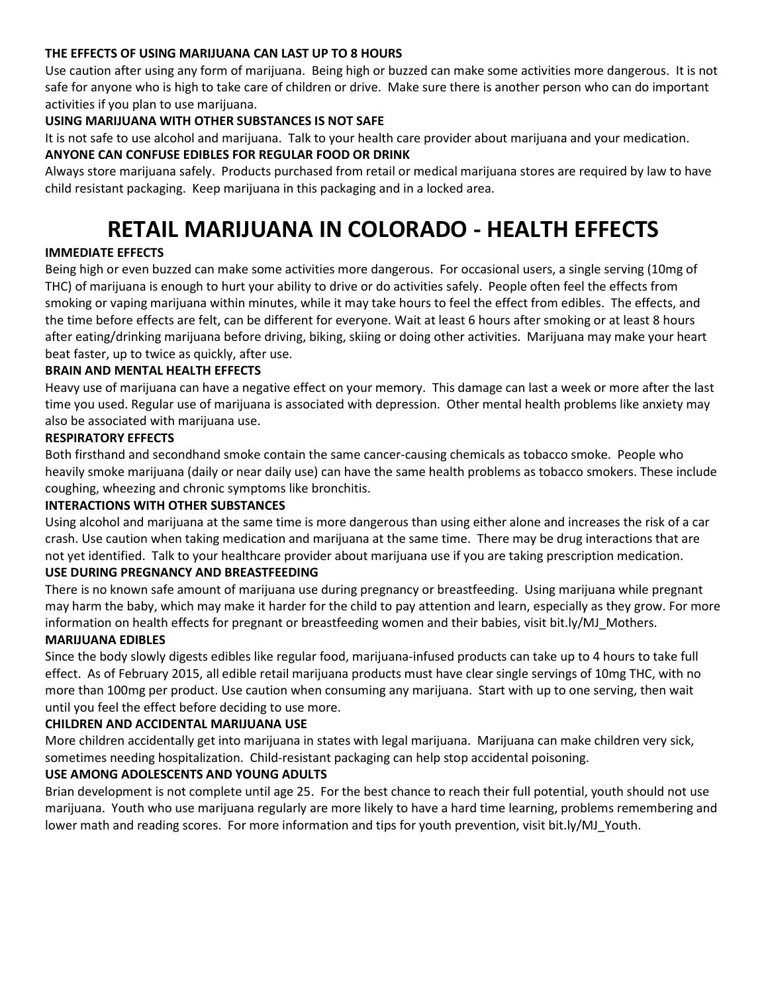#### THE EFFECTS OF USING MARIJUANA CAN LAST UP TO 8 HOURS

Use caution after using any form of marijuana. Being high or buzzed can make some activities more dangerous. It is not safe for anyone who is high to take care of children or drive. Make sure there is another person who can do important activities if you plan to use marijuana.

# USING MARIJUANA WITH OTHER SUBSTANCES IS NOT SAFE

It is not safe to use alcohol and marijuana. Talk to your health care provider about marijuana and your medication.

## ANYONE CAN CONFUSE EDIBLES FOR REGULAR FOOD OR DRINK

Always store marijuana safely. Products purchased from retail or medical marijuana stores are required by law to have child resistant packaging. Keep marijuana in this packaging and in a locked area.

# RETAIL MARIJUANA IN COLORADO - HEALTH EFFECTS

# IMMEDIATE EFFECTS

Being high or even buzzed can make some activities more dangerous. For occasional users, a single serving (10mg of THC) of marijuana is enough to hurt your ability to drive or do activities safely. People often feel the effects from smoking or vaping marijuana within minutes, while it may take hours to feel the effect from edibles. The effects, and the time before effects are felt, can be different for everyone. Wait at least 6 hours after smoking or at least 8 hours after eating/drinking marijuana before driving, biking, skiing or doing other activities. Marijuana may make your heart beat faster, up to twice as quickly, after use.

### BRAIN AND MENTAL HEALTH EFFECTS

Heavy use of marijuana can have a negative effect on your memory. This damage can last a week or more after the last time you used. Regular use of marijuana is associated with depression. Other mental health problems like anxiety may also be associated with marijuana use.

### RESPIRATORY EFFECTS

Both firsthand and secondhand smoke contain the same cancer-causing chemicals as tobacco smoke. People who heavily smoke marijuana (daily or near daily use) can have the same health problems as tobacco smokers. These include coughing, wheezing and chronic symptoms like bronchitis.

#### INTERACTIONS WITH OTHER SUBSTANCES

Using alcohol and marijuana at the same time is more dangerous than using either alone and increases the risk of a car crash. Use caution when taking medication and marijuana at the same time. There may be drug interactions that are not yet identified. Talk to your healthcare provider about marijuana use if you are taking prescription medication.

# USE DURING PREGNANCY AND BREASTFEEDING

There is no known safe amount of marijuana use during pregnancy or breastfeeding. Using marijuana while pregnant may harm the baby, which may make it harder for the child to pay attention and learn, especially as they grow. For more information on health effects for pregnant or breastfeeding women and their babies, visit bit.ly/MJ\_Mothers.

### MARIJUANA EDIBLES

Since the body slowly digests edibles like regular food, marijuana-infused products can take up to 4 hours to take full effect. As of February 2015, all edible retail marijuana products must have clear single servings of 10mg THC, with no more than 100mg per product. Use caution when consuming any marijuana. Start with up to one serving, then wait until you feel the effect before deciding to use more.

#### CHILDREN AND ACCIDENTAL MARIJUANA USE

More children accidentally get into marijuana in states with legal marijuana. Marijuana can make children very sick, sometimes needing hospitalization. Child-resistant packaging can help stop accidental poisoning.

#### USE AMONG ADOLESCENTS AND YOUNG ADULTS

Brian development is not complete until age 25. For the best chance to reach their full potential, youth should not use marijuana. Youth who use marijuana regularly are more likely to have a hard time learning, problems remembering and lower math and reading scores. For more information and tips for youth prevention, visit bit.ly/MJ\_Youth.